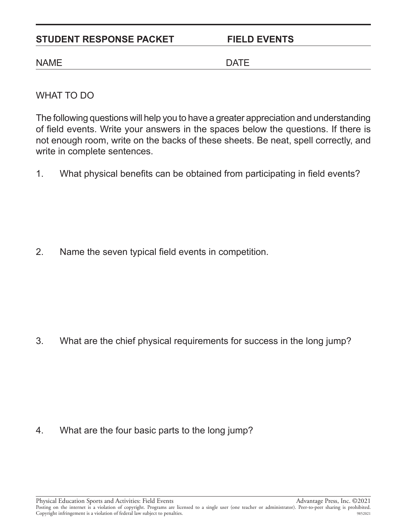## STUDENT RESPONSE PACKET FIELD EVENTS

## NAME DATE

WHAT TO DO

The following questions will help you to have a greater appreciation and understanding of field events. Write your answers in the spaces below the questions. If there is not enough room, write on the backs of these sheets. Be neat, spell correctly, and write in complete sentences.

1. What physical benefits can be obtained from participating in field events?

2. Name the seven typical field events in competition.

3. What are the chief physical requirements for success in the long jump?

4. What are the four basic parts to the long jump?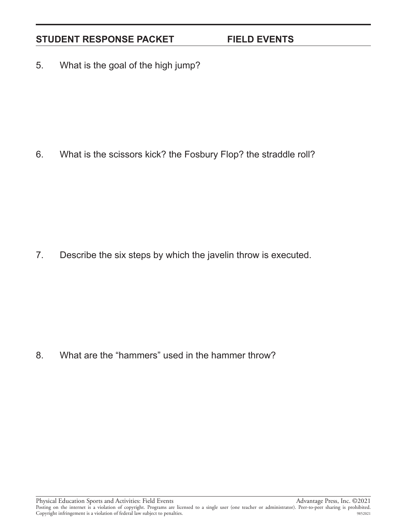# STUDENT RESPONSE PACKET FIELD EVENTS

5. What is the goal of the high jump?

6. What is the scissors kick? the Fosbury Flop? the straddle roll?

7. Describe the six steps by which the javelin throw is executed.

8. What are the "hammers" used in the hammer throw?